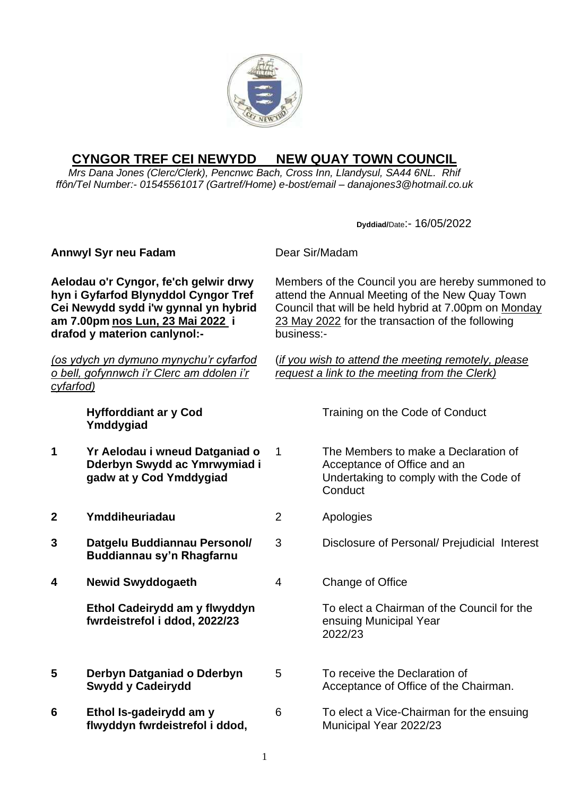

## **CYNGOR TREF CEI NEWYDD NEW QUAY TOWN COUNCIL**

*Mrs Dana Jones (Clerc/Clerk), Pencnwc Bach, Cross Inn, Llandysul, SA44 6NL. Rhif ffôn/Tel Number:- 01545561017 (Gartref/Home) e-bost/email – danajones3@hotmail.co.uk*

**Dyddiad/**Date:- 16/05/2022 **Annwyl Syr neu Fadam** Dear Sir/Madam **Aelodau o'r Cyngor, fe'ch gelwir drwy hyn i Gyfarfod Blynyddol Cyngor Tref Cei Newydd sydd i'w gynnal yn hybrid am 7.00pm nos Lun, 23 Mai 2022 i drafod y materion canlynol:-** *(os ydych yn dymuno mynychu'r cyfarfod o bell, gofynnwch i'r Clerc am ddolen i'r cyfarfod)* Members of the Council you are hereby summoned to attend the Annual Meeting of the New Quay Town Council that will be held hybrid at 7.00pm on Monday 23 May 2022 for the transaction of the following business:- (*if you wish to attend the meeting remotely, please request a link to the meeting from the Clerk)* **Hyfforddiant ar y Cod Ymddygiad** Training on the Code of Conduct **1 Yr Aelodau i wneud Datganiad o Dderbyn Swydd ac Ymrwymiad i gadw at y Cod Ymddygiad** 1 The Members to make a Declaration of Acceptance of Office and an Undertaking to comply with the Code of **Conduct 2 Ymddiheuriadau** 2 Apologies **3 Datgelu Buddiannau Personol/ Buddiannau sy'n Rhagfarnu** 3 Disclosure of Personal/ Prejudicial Interest **4 Newid Swyddogaeth Ethol Cadeirydd am y flwyddyn fwrdeistrefol i ddod, 2022/23** 4 Change of Office To elect a Chairman of the Council for the ensuing Municipal Year 2022/23 **5 Derbyn Datganiad o Dderbyn Swydd y Cadeirydd** 5 To receive the Declaration of Acceptance of Office of the Chairman. **6 Ethol Is-gadeirydd am y flwyddyn fwrdeistrefol i ddod,**  6 To elect a Vice-Chairman for the ensuing Municipal Year 2022/23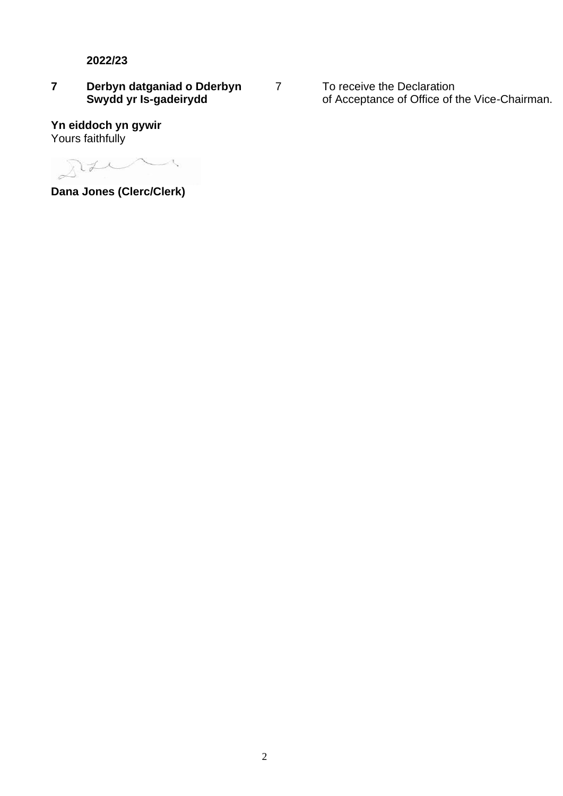**2022/23**

## **7 Derbyn datganiad o Dderbyn Swydd yr Is-gadeirydd**

**Yn eiddoch yn gywir**  Yours faithfully

 $22$  $\angle$ 

**Dana Jones (Clerc/Clerk)**

7 To receive the Declaration of Acceptance of Office of the Vice-Chairman.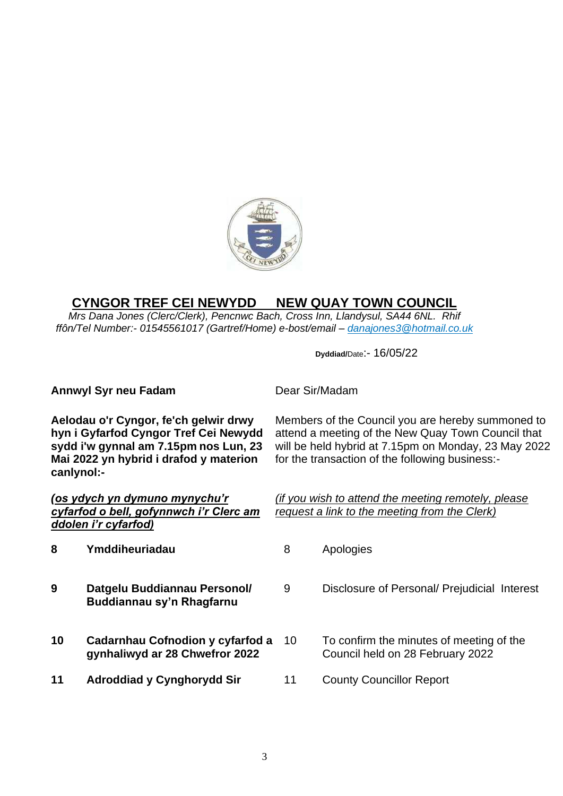

## **CYNGOR TREF CEI NEWYDD NEW QUAY TOWN COUNCIL**

*Mrs Dana Jones (Clerc/Clerk), Pencnwc Bach, Cross Inn, Llandysul, SA44 6NL. Rhif ffôn/Tel Number:- 01545561017 (Gartref/Home) e-bost/email – [danajones3@hotmail.co.uk](mailto:danajones3@hotmail.co.uk)*

**Dyddiad/**Date:- 16/05/22

| <b>Annwyl Syr neu Fadam</b>                                                                                                                                                     |                                                                    | Dear Sir/Madam                                                                                                                                                                                                     |                                                                              |
|---------------------------------------------------------------------------------------------------------------------------------------------------------------------------------|--------------------------------------------------------------------|--------------------------------------------------------------------------------------------------------------------------------------------------------------------------------------------------------------------|------------------------------------------------------------------------------|
| Aelodau o'r Cyngor, fe'ch gelwir drwy<br>hyn i Gyfarfod Cyngor Tref Cei Newydd<br>sydd i'w gynnal am 7.15pm nos Lun, 23<br>Mai 2022 yn hybrid i drafod y materion<br>canlynol:- |                                                                    | Members of the Council you are hereby summoned to<br>attend a meeting of the New Quay Town Council that<br>will be held hybrid at 7.15pm on Monday, 23 May 2022<br>for the transaction of the following business:- |                                                                              |
| <u>(os ydych yn dymuno mynychu'r</u><br>cyfarfod o bell, gofynnwch i'r Clerc am<br>ddolen i'r cyfarfod)                                                                         |                                                                    | (if you wish to attend the meeting remotely, please<br>request a link to the meeting from the Clerk)                                                                                                               |                                                                              |
| 8                                                                                                                                                                               | Ymddiheuriadau                                                     | 8                                                                                                                                                                                                                  | Apologies                                                                    |
| 9                                                                                                                                                                               | Datgelu Buddiannau Personol/<br>Buddiannau sy'n Rhagfarnu          | 9                                                                                                                                                                                                                  | Disclosure of Personal/ Prejudicial Interest                                 |
| 10                                                                                                                                                                              | Cadarnhau Cofnodion y cyfarfod a<br>gynhaliwyd ar 28 Chwefror 2022 | 10                                                                                                                                                                                                                 | To confirm the minutes of meeting of the<br>Council held on 28 February 2022 |
| 11                                                                                                                                                                              | <b>Adroddiad y Cynghorydd Sir</b>                                  | 11                                                                                                                                                                                                                 | <b>County Councillor Report</b>                                              |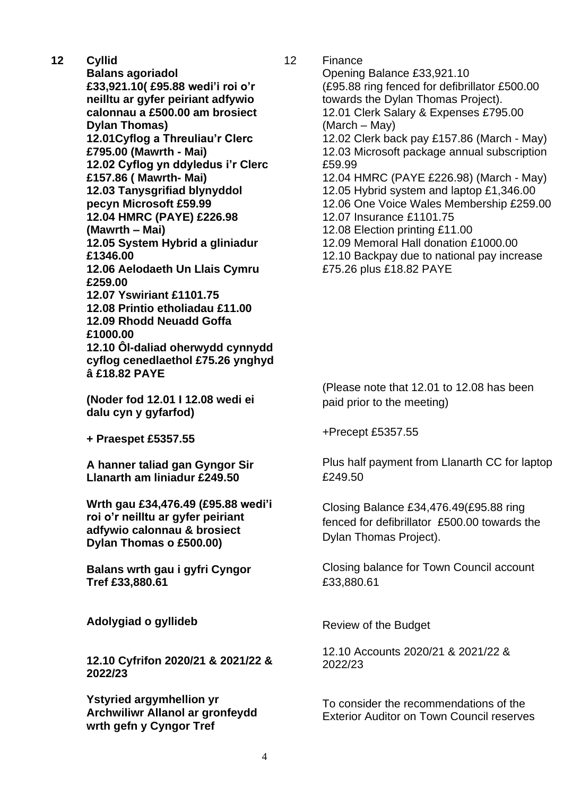**12 Cyllid Balans agoriadol £33,921.10( £95.88 wedi'i roi o'r neilltu ar gyfer peiriant adfywio calonnau a £500.00 am brosiect Dylan Thomas) 12.01Cyflog a Threuliau'r Clerc £795.00 (Mawrth - Mai) 12.02 Cyflog yn ddyledus i'r Clerc £157.86 ( Mawrth- Mai) 12.03 Tanysgrifiad blynyddol pecyn Microsoft £59.99 12.04 HMRC (PAYE) £226.98 (Mawrth – Mai) 12.05 System Hybrid a gliniadur £1346.00 12.06 Aelodaeth Un Llais Cymru £259.00 12.07 Yswiriant £1101.75 12.08 Printio etholiadau £11.00 12.09 Rhodd Neuadd Goffa £1000.00 12.10 Ôl-daliad oherwydd cynnydd cyflog cenedlaethol £75.26 ynghyd â £18.82 PAYE**

> **(Noder fod 12.01 I 12.08 wedi ei dalu cyn y gyfarfod)**

**+ Praespet £5357.55**

**A hanner taliad gan Gyngor Sir Llanarth am liniadur £249.50**

**Wrth gau £34,476.49 (£95.88 wedi'i roi o'r neilltu ar gyfer peiriant adfywio calonnau & brosiect Dylan Thomas o £500.00)**

**Balans wrth gau i gyfri Cyngor Tref £33,880.61**

**Adolygiad o gyllideb** 

**12.10 Cyfrifon 2020/21 & 2021/22 & 2022/23**

**Ystyried argymhellion yr Archwiliwr Allanol ar gronfeydd wrth gefn y Cyngor Tref**

12 Finance Opening Balance £33,921.10 (£95.88 ring fenced for defibrillator £500.00 towards the Dylan Thomas Project). 12.01 Clerk Salary & Expenses £795.00 (March – May) 12.02 Clerk back pay £157.86 (March - May) 12.03 Microsoft package annual subscription £59.99 12.04 HMRC (PAYE £226.98) (March - May) 12.05 Hybrid system and laptop £1,346.00 12.06 One Voice Wales Membership £259.00 12.07 Insurance £1101.75 12.08 Election printing £11.00 12.09 Memoral Hall donation £1000.00 12.10 Backpay due to national pay increase £75.26 plus £18.82 PAYE

> (Please note that 12.01 to 12.08 has been paid prior to the meeting)

+Precept £5357.55

Plus half payment from Llanarth CC for laptop £249.50

Closing Balance £34,476.49(£95.88 ring fenced for defibrillator £500.00 towards the Dylan Thomas Project).

Closing balance for Town Council account £33,880.61

Review of the Budget

12.10 Accounts 2020/21 & 2021/22 & 2022/23

To consider the recommendations of the Exterior Auditor on Town Council reserves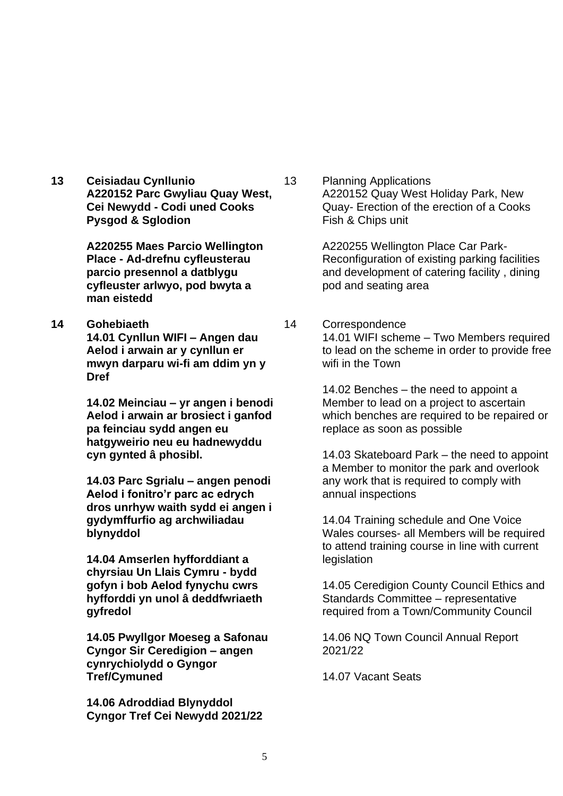**13 Ceisiadau Cynllunio A220152 Parc Gwyliau Quay West, Cei Newydd - Codi uned Cooks Pysgod & Sglodion**

> **A220255 Maes Parcio Wellington Place - Ad-drefnu cyfleusterau parcio presennol a datblygu cyfleuster arlwyo, pod bwyta a man eistedd**

**14 Gohebiaeth 14.01 Cynllun WIFI – Angen dau Aelod i arwain ar y cynllun er mwyn darparu wi-fi am ddim yn y Dref**

> **14.02 Meinciau – yr angen i benodi Aelod i arwain ar brosiect i ganfod pa feinciau sydd angen eu hatgyweirio neu eu hadnewyddu cyn gynted â phosibl.**

> **14.03 Parc Sgrialu – angen penodi Aelod i fonitro'r parc ac edrych dros unrhyw waith sydd ei angen i gydymffurfio ag archwiliadau blynyddol**

**14.04 Amserlen hyfforddiant a chyrsiau Un Llais Cymru - bydd gofyn i bob Aelod fynychu cwrs hyfforddi yn unol â deddfwriaeth gyfredol**

**14.05 Pwyllgor Moeseg a Safonau Cyngor Sir Ceredigion – angen cynrychiolydd o Gyngor Tref/Cymuned**

**14.06 Adroddiad Blynyddol Cyngor Tref Cei Newydd 2021/22** 13 Planning Applications A220152 Quay West Holiday Park, New Quay- Erection of the erection of a Cooks Fish & Chips unit

> A220255 Wellington Place Car Park-Reconfiguration of existing parking facilities and development of catering facility , dining pod and seating area

14 Correspondence 14.01 WIFI scheme – Two Members required to lead on the scheme in order to provide free wifi in the Town

> 14.02 Benches – the need to appoint a Member to lead on a project to ascertain which benches are required to be repaired or replace as soon as possible

> 14.03 Skateboard Park – the need to appoint a Member to monitor the park and overlook any work that is required to comply with annual inspections

14.04 Training schedule and One Voice Wales courses- all Members will be required to attend training course in line with current legislation

14.05 Ceredigion County Council Ethics and Standards Committee – representative required from a Town/Community Council

14.06 NQ Town Council Annual Report 2021/22

14.07 Vacant Seats